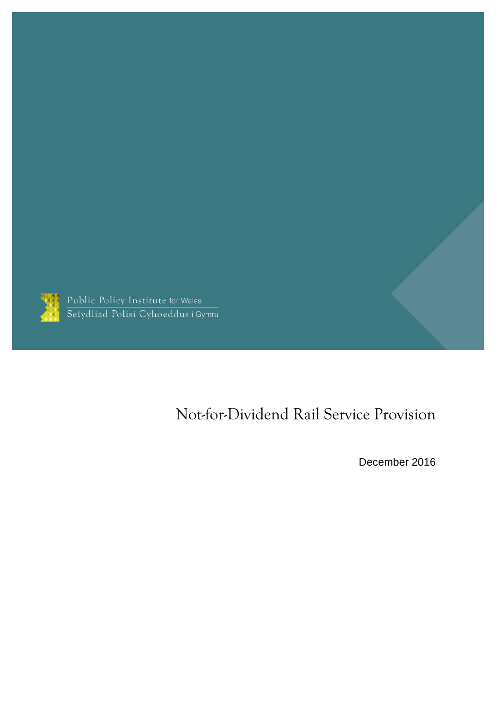

Public Policy Institute for Wales<br>Sefydliad Polisi Cyhoeddus i Gymru

# Not-for-Dividend Rail Service Provision

December 2016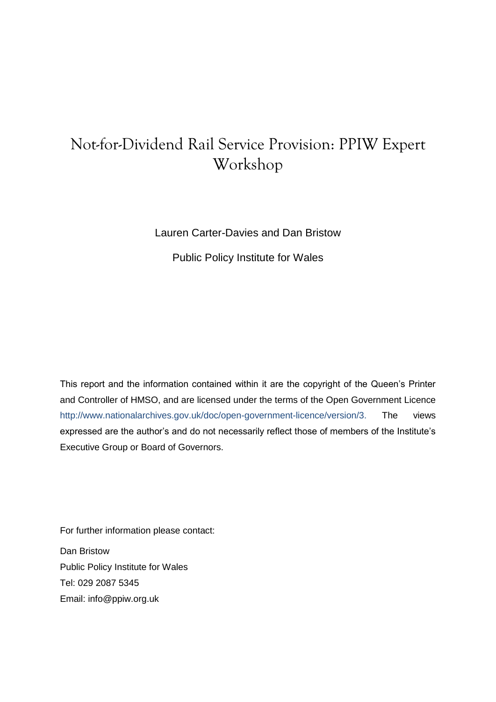## Not-for-Dividend Rail Service Provision: PPIW Expert Workshop

#### Lauren Carter-Davies and Dan Bristow

Public Policy Institute for Wales

This report and the information contained within it are the copyright of the Queen's Printer and Controller of HMSO, and are licensed under the terms of the Open Government Licence [http://www.nationalarchives.gov.uk/doc/open-government-licence/version/3.](http://www.nationalarchives.gov.uk/doc/open-government-licence/version/3) The views expressed are the author's and do not necessarily reflect those of members of the Institute's Executive Group or Board of Governors.

For further information please contact:

Dan Bristow Public Policy Institute for Wales Tel: 029 2087 5345 Email: [info@ppiw.org.uk](mailto:info@ppiw.org.uk)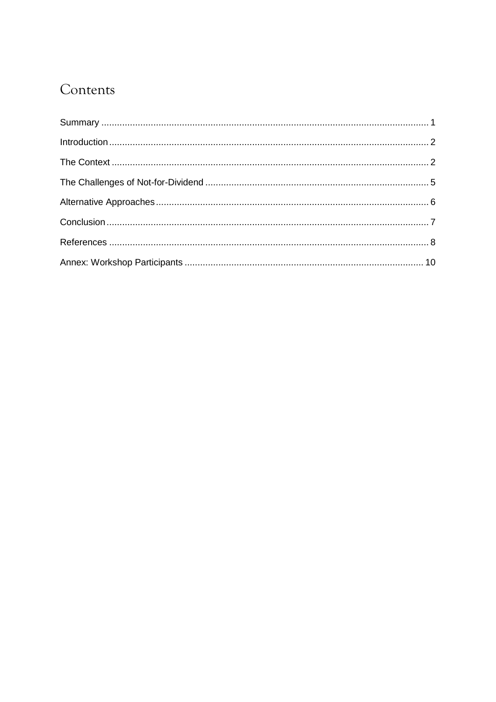## Contents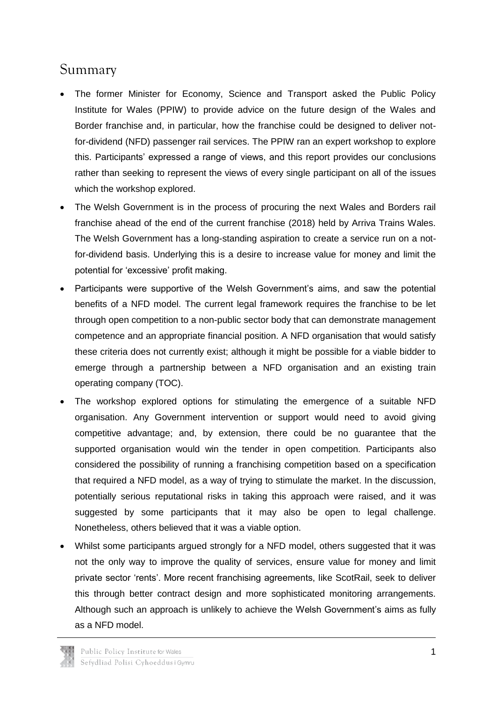### <span id="page-3-0"></span>Summary

- The former Minister for Economy, Science and Transport asked the Public Policy Institute for Wales (PPIW) to provide advice on the future design of the Wales and Border franchise and, in particular, how the franchise could be designed to deliver notfor-dividend (NFD) passenger rail services. The PPIW ran an expert workshop to explore this. Participants' expressed a range of views, and this report provides our conclusions rather than seeking to represent the views of every single participant on all of the issues which the workshop explored.
- The Welsh Government is in the process of procuring the next Wales and Borders rail franchise ahead of the end of the current franchise (2018) held by Arriva Trains Wales. The Welsh Government has a long-standing aspiration to create a service run on a notfor-dividend basis. Underlying this is a desire to increase value for money and limit the potential for 'excessive' profit making.
- Participants were supportive of the Welsh Government's aims, and saw the potential benefits of a NFD model. The current legal framework requires the franchise to be let through open competition to a non-public sector body that can demonstrate management competence and an appropriate financial position. A NFD organisation that would satisfy these criteria does not currently exist; although it might be possible for a viable bidder to emerge through a partnership between a NFD organisation and an existing train operating company (TOC).
- The workshop explored options for stimulating the emergence of a suitable NFD organisation. Any Government intervention or support would need to avoid giving competitive advantage; and, by extension, there could be no guarantee that the supported organisation would win the tender in open competition. Participants also considered the possibility of running a franchising competition based on a specification that required a NFD model, as a way of trying to stimulate the market. In the discussion, potentially serious reputational risks in taking this approach were raised, and it was suggested by some participants that it may also be open to legal challenge. Nonetheless, others believed that it was a viable option.
- Whilst some participants argued strongly for a NFD model, others suggested that it was not the only way to improve the quality of services, ensure value for money and limit private sector 'rents'. More recent franchising agreements, like ScotRail, seek to deliver this through better contract design and more sophisticated monitoring arrangements. Although such an approach is unlikely to achieve the Welsh Government's aims as fully as a NFD model.

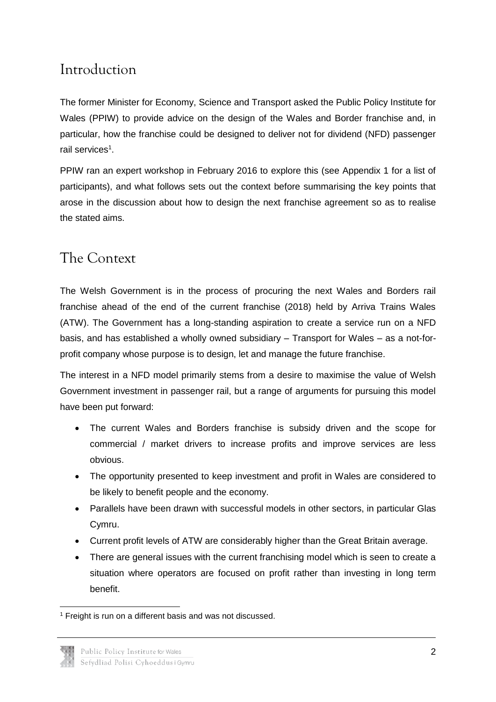## <span id="page-4-0"></span>Introduction

The former Minister for Economy, Science and Transport asked the Public Policy Institute for Wales (PPIW) to provide advice on the design of the Wales and Border franchise and, in particular, how the franchise could be designed to deliver not for dividend (NFD) passenger rail services<sup>1</sup>.

PPIW ran an expert workshop in February 2016 to explore this (see Appendix 1 for a list of participants), and what follows sets out the context before summarising the key points that arose in the discussion about how to design the next franchise agreement so as to realise the stated aims.

### <span id="page-4-1"></span>The Context

The Welsh Government is in the process of procuring the next Wales and Borders rail franchise ahead of the end of the current franchise (2018) held by Arriva Trains Wales (ATW). The Government has a long-standing aspiration to create a service run on a NFD basis, and has established a wholly owned subsidiary – Transport for Wales – as a not-forprofit company whose purpose is to design, let and manage the future franchise.

The interest in a NFD model primarily stems from a desire to maximise the value of Welsh Government investment in passenger rail, but a range of arguments for pursuing this model have been put forward:

- The current Wales and Borders franchise is subsidy driven and the scope for commercial / market drivers to increase profits and improve services are less obvious.
- The opportunity presented to keep investment and profit in Wales are considered to be likely to benefit people and the economy.
- Parallels have been drawn with successful models in other sectors, in particular Glas Cymru.
- Current profit levels of ATW are considerably higher than the Great Britain average.
- There are general issues with the current franchising model which is seen to create a situation where operators are focused on profit rather than investing in long term benefit.

<sup>-</sup><sup>1</sup> Freight is run on a different basis and was not discussed.

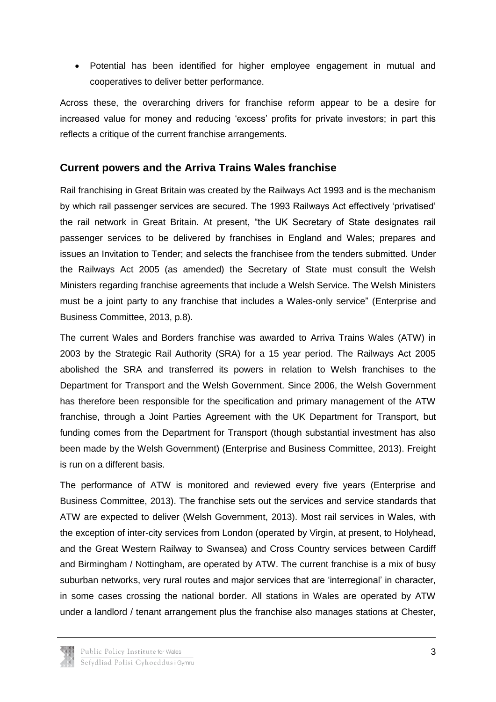Potential has been identified for higher employee engagement in mutual and cooperatives to deliver better performance.

Across these, the overarching drivers for franchise reform appear to be a desire for increased value for money and reducing 'excess' profits for private investors; in part this reflects a critique of the current franchise arrangements.

#### **Current powers and the Arriva Trains Wales franchise**

Rail franchising in Great Britain was created by the Railways Act 1993 and is the mechanism by which rail passenger services are secured. The 1993 Railways Act effectively 'privatised' the rail network in Great Britain. At present, "the UK Secretary of State designates rail passenger services to be delivered by franchises in England and Wales; prepares and issues an Invitation to Tender; and selects the franchisee from the tenders submitted. Under the Railways Act 2005 (as amended) the Secretary of State must consult the Welsh Ministers regarding franchise agreements that include a Welsh Service. The Welsh Ministers must be a joint party to any franchise that includes a Wales-only service" (Enterprise and Business Committee, 2013, p.8).

The current Wales and Borders franchise was awarded to Arriva Trains Wales (ATW) in 2003 by the Strategic Rail Authority (SRA) for a 15 year period. The Railways Act 2005 abolished the SRA and transferred its powers in relation to Welsh franchises to the Department for Transport and the Welsh Government. Since 2006, the Welsh Government has therefore been responsible for the specification and primary management of the ATW franchise, through a Joint Parties Agreement with the UK Department for Transport, but funding comes from the Department for Transport (though substantial investment has also been made by the Welsh Government) (Enterprise and Business Committee, 2013). Freight is run on a different basis.

The performance of ATW is monitored and reviewed every five years (Enterprise and Business Committee, 2013). The franchise sets out the services and service standards that ATW are expected to deliver (Welsh Government, 2013). Most rail services in Wales, with the exception of inter-city services from London (operated by Virgin, at present, to Holyhead, and the Great Western Railway to Swansea) and Cross Country services between Cardiff and Birmingham / Nottingham, are operated by ATW. The current franchise is a mix of busy suburban networks, very rural routes and major services that are 'interregional' in character, in some cases crossing the national border. All stations in Wales are operated by ATW under a landlord / tenant arrangement plus the franchise also manages stations at Chester,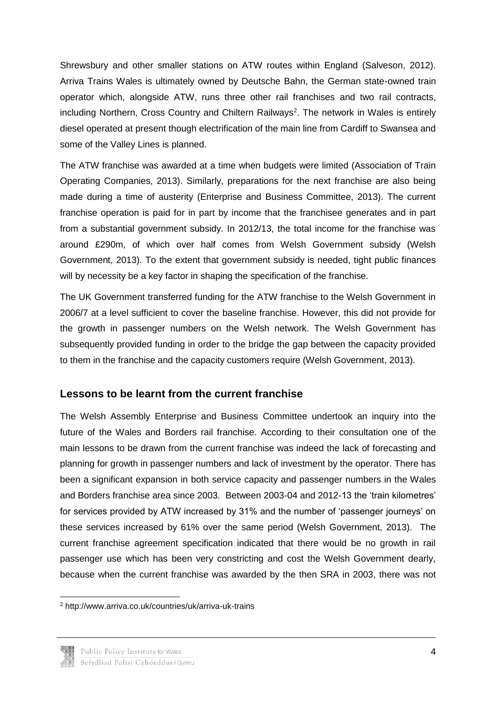Shrewsbury and other smaller stations on ATW routes within England (Salveson, 2012). Arriva Trains Wales is ultimately owned by Deutsche Bahn, the German state-owned train operator which, alongside ATW, runs three other rail franchises and two rail contracts, including Northern, Cross Country and Chiltern Railways<sup>2</sup>. The network in Wales is entirely diesel operated at present though electrification of the main line from Cardiff to Swansea and some of the Valley Lines is planned.

The ATW franchise was awarded at a time when budgets were limited (Association of Train Operating Companies, 2013). Similarly, preparations for the next franchise are also being made during a time of austerity (Enterprise and Business Committee, 2013). The current franchise operation is paid for in part by income that the franchisee generates and in part from a substantial government subsidy. In 2012/13, the total income for the franchise was around £290m, of which over half comes from Welsh Government subsidy (Welsh Government, 2013). To the extent that government subsidy is needed, tight public finances will by necessity be a key factor in shaping the specification of the franchise.

The UK Government transferred funding for the ATW franchise to the Welsh Government in 2006/7 at a level sufficient to cover the baseline franchise. However, this did not provide for the growth in passenger numbers on the Welsh network. The Welsh Government has subsequently provided funding in order to the bridge the gap between the capacity provided to them in the franchise and the capacity customers require (Welsh Government, 2013).

#### **Lessons to be learnt from the current franchise**

The Welsh Assembly Enterprise and Business Committee undertook an inquiry into the future of the Wales and Borders rail franchise. According to their consultation one of the main lessons to be drawn from the current franchise was indeed the lack of forecasting and planning for growth in passenger numbers and lack of investment by the operator. There has been a significant expansion in both service capacity and passenger numbers in the Wales and Borders franchise area since 2003. Between 2003-04 and 2012-13 the 'train kilometres' for services provided by ATW increased by 31% and the number of 'passenger journeys' on these services increased by 61% over the same period (Welsh Government, 2013). The current franchise agreement specification indicated that there would be no growth in rail passenger use which has been very constricting and cost the Welsh Government dearly, because when the current franchise was awarded by the then SRA in 2003, there was not

<sup>2</sup> http://www.arriva.co.uk/countries/uk/arriva-uk-trains



-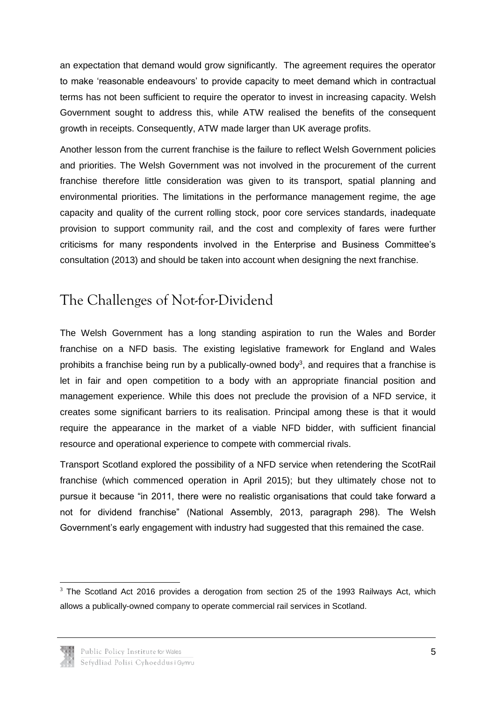an expectation that demand would grow significantly. The agreement requires the operator to make 'reasonable endeavours' to provide capacity to meet demand which in contractual terms has not been sufficient to require the operator to invest in increasing capacity. Welsh Government sought to address this, while ATW realised the benefits of the consequent growth in receipts. Consequently, ATW made larger than UK average profits.

Another lesson from the current franchise is the failure to reflect Welsh Government policies and priorities. The Welsh Government was not involved in the procurement of the current franchise therefore little consideration was given to its transport, spatial planning and environmental priorities. The limitations in the performance management regime, the age capacity and quality of the current rolling stock, poor core services standards, inadequate provision to support community rail, and the cost and complexity of fares were further criticisms for many respondents involved in the Enterprise and Business Committee's consultation (2013) and should be taken into account when designing the next franchise.

### <span id="page-7-0"></span>The Challenges of Not-for-Dividend

The Welsh Government has a long standing aspiration to run the Wales and Border franchise on a NFD basis. The existing legislative framework for England and Wales prohibits a franchise being run by a publically-owned body<sup>3</sup>, and requires that a franchise is let in fair and open competition to a body with an appropriate financial position and management experience. While this does not preclude the provision of a NFD service, it creates some significant barriers to its realisation. Principal among these is that it would require the appearance in the market of a viable NFD bidder, with sufficient financial resource and operational experience to compete with commercial rivals.

Transport Scotland explored the possibility of a NFD service when retendering the ScotRail franchise (which commenced operation in April 2015); but they ultimately chose not to pursue it because "in 2011, there were no realistic organisations that could take forward a not for dividend franchise" (National Assembly, 2013, paragraph 298). The Welsh Government's early engagement with industry had suggested that this remained the case.

<sup>-</sup> $3$  The Scotland Act 2016 provides a derogation from section 25 of the 1993 Railways Act, which allows a publically-owned company to operate commercial rail services in Scotland.

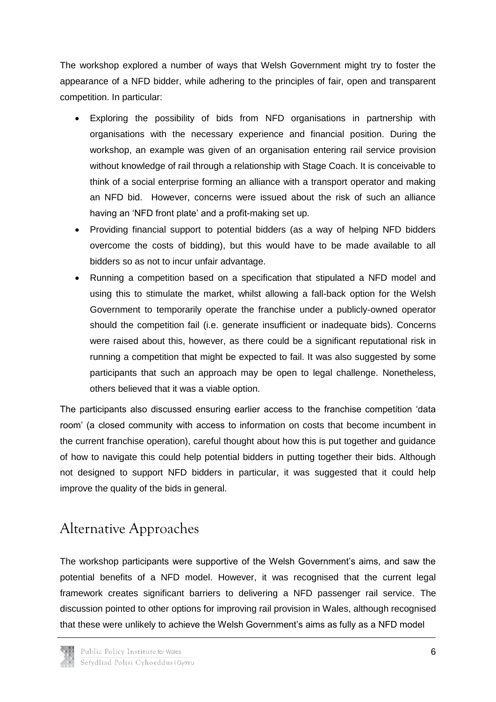The workshop explored a number of ways that Welsh Government might try to foster the appearance of a NFD bidder, while adhering to the principles of fair, open and transparent competition. In particular:

- Exploring the possibility of bids from NFD organisations in partnership with organisations with the necessary experience and financial position. During the workshop, an example was given of an organisation entering rail service provision without knowledge of rail through a relationship with Stage Coach. It is conceivable to think of a social enterprise forming an alliance with a transport operator and making an NFD bid. However, concerns were issued about the risk of such an alliance having an 'NFD front plate' and a profit-making set up.
- Providing financial support to potential bidders (as a way of helping NFD bidders overcome the costs of bidding), but this would have to be made available to all bidders so as not to incur unfair advantage.
- Running a competition based on a specification that stipulated a NFD model and using this to stimulate the market, whilst allowing a fall-back option for the Welsh Government to temporarily operate the franchise under a publicly-owned operator should the competition fail (i.e. generate insufficient or inadequate bids). Concerns were raised about this, however, as there could be a significant reputational risk in running a competition that might be expected to fail. It was also suggested by some participants that such an approach may be open to legal challenge. Nonetheless, others believed that it was a viable option.

The participants also discussed ensuring earlier access to the franchise competition 'data room' (a closed community with access to information on costs that become incumbent in the current franchise operation), careful thought about how this is put together and guidance of how to navigate this could help potential bidders in putting together their bids. Although not designed to support NFD bidders in particular, it was suggested that it could help improve the quality of the bids in general.

## <span id="page-8-0"></span>Alternative Approaches

The workshop participants were supportive of the Welsh Government's aims, and saw the potential benefits of a NFD model. However, it was recognised that the current legal framework creates significant barriers to delivering a NFD passenger rail service. The discussion pointed to other options for improving rail provision in Wales, although recognised that these were unlikely to achieve the Welsh Government's aims as fully as a NFD model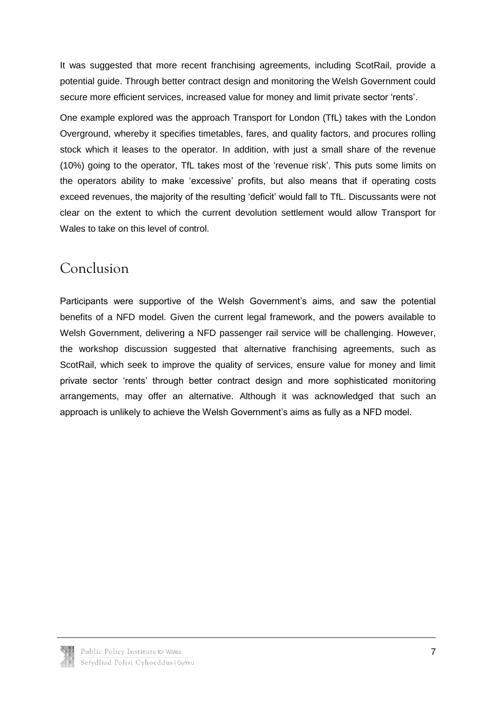It was suggested that more recent franchising agreements, including ScotRail, provide a potential guide. Through better contract design and monitoring the Welsh Government could secure more efficient services, increased value for money and limit private sector 'rents'.

One example explored was the approach Transport for London (TfL) takes with the London Overground, whereby it specifies timetables, fares, and quality factors, and procures rolling stock which it leases to the operator. In addition, with just a small share of the revenue (10%) going to the operator, TfL takes most of the 'revenue risk'. This puts some limits on the operators ability to make 'excessive' profits, but also means that if operating costs exceed revenues, the majority of the resulting 'deficit' would fall to TfL. Discussants were not clear on the extent to which the current devolution settlement would allow Transport for Wales to take on this level of control.

## <span id="page-9-0"></span>Conclusion

Participants were supportive of the Welsh Government's aims, and saw the potential benefits of a NFD model. Given the current legal framework, and the powers available to Welsh Government, delivering a NFD passenger rail service will be challenging. However, the workshop discussion suggested that alternative franchising agreements, such as ScotRail, which seek to improve the quality of services, ensure value for money and limit private sector 'rents' through better contract design and more sophisticated monitoring arrangements, may offer an alternative. Although it was acknowledged that such an approach is unlikely to achieve the Welsh Government's aims as fully as a NFD model.

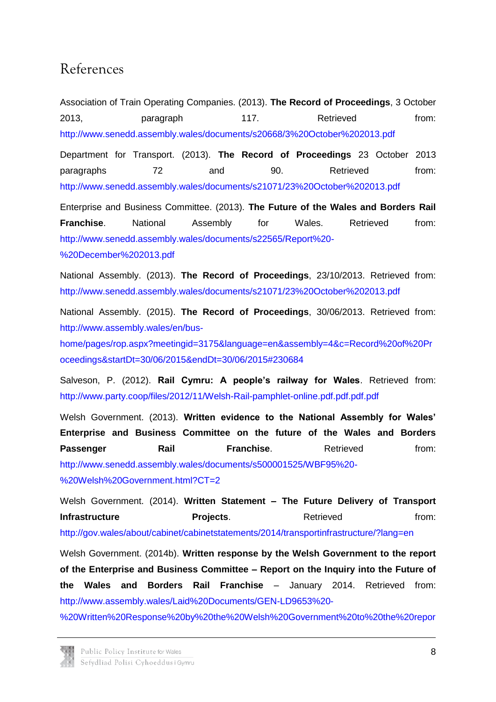### <span id="page-10-0"></span>References

Association of Train Operating Companies. (2013). **The Record of Proceedings**, 3 October 2013, **paragraph** 117. Retrieved from: <http://www.senedd.assembly.wales/documents/s20668/3%20October%202013.pdf>

Department for Transport. (2013). **The Record of Proceedings** 23 October 2013 paragraphs 72 and 90. Retrieved from: <http://www.senedd.assembly.wales/documents/s21071/23%20October%202013.pdf>

Enterprise and Business Committee. (2013). **The Future of the Wales and Borders Rail Franchise.** National Assembly for Wales. Retrieved from: [http://www.senedd.assembly.wales/documents/s22565/Report%20-](http://www.senedd.assembly.wales/documents/s22565/Report%20-%20December%202013.pdf)

[%20December%202013.pdf](http://www.senedd.assembly.wales/documents/s22565/Report%20-%20December%202013.pdf)

National Assembly. (2013). **The Record of Proceedings**, 23/10/2013. Retrieved from: <http://www.senedd.assembly.wales/documents/s21071/23%20October%202013.pdf>

National Assembly. (2015). **The Record of Proceedings**, 30/06/2013. Retrieved from: [http://www.assembly.wales/en/bus-](http://www.assembly.wales/en/bus-home/pages/rop.aspx?meetingid=3175&language=en&assembly=4&c=Record%20of%20Proceedings&startDt=30/06/2015&endDt=30/06/2015#230684)

[home/pages/rop.aspx?meetingid=3175&language=en&assembly=4&c=Record%20of%20Pr](http://www.assembly.wales/en/bus-home/pages/rop.aspx?meetingid=3175&language=en&assembly=4&c=Record%20of%20Proceedings&startDt=30/06/2015&endDt=30/06/2015#230684) [oceedings&startDt=30/06/2015&endDt=30/06/2015#230684](http://www.assembly.wales/en/bus-home/pages/rop.aspx?meetingid=3175&language=en&assembly=4&c=Record%20of%20Proceedings&startDt=30/06/2015&endDt=30/06/2015#230684)

Salveson, P. (2012). **Rail Cymru: A people's railway for Wales**. Retrieved from: <http://www.party.coop/files/2012/11/Welsh-Rail-pamphlet-online.pdf.pdf.pdf.pdf>

Welsh Government. (2013). **Written evidence to the National Assembly for Wales' Enterprise and Business Committee on the future of the Wales and Borders Passenger Rail Rail Franchise.** Retrieved from: [http://www.senedd.assembly.wales/documents/s500001525/WBF95%20-](http://www.senedd.assembly.wales/documents/s500001525/WBF95%20-%20Welsh%20Government.html?CT=2) [%20Welsh%20Government.html?CT=2](http://www.senedd.assembly.wales/documents/s500001525/WBF95%20-%20Welsh%20Government.html?CT=2)

Welsh Government. (2014). **Written Statement – The Future Delivery of Transport Infrastructure Communisty Projects.** Retrieved and from: <http://gov.wales/about/cabinet/cabinetstatements/2014/transportinfrastructure/?lang=en>

Welsh Government. (2014b). **Written response by the Welsh Government to the report of the Enterprise and Business Committee – Report on the Inquiry into the Future of the Wales and Borders Rail Franchise** – January 2014. Retrieved from: [http://www.assembly.wales/Laid%20Documents/GEN-LD9653%20-](http://www.assembly.wales/Laid%20Documents/GEN-LD9653%20-%20Written%20Response%20by%20the%20Welsh%20Government%20to%20the%20report%20of%20the%20Enterprise%20and%20Business%20Committee%20-%20-12022014-253712/gen-ld9653-e-English.pdf)

[%20Written%20Response%20by%20the%20Welsh%20Government%20to%20the%20repor](http://www.assembly.wales/Laid%20Documents/GEN-LD9653%20-%20Written%20Response%20by%20the%20Welsh%20Government%20to%20the%20report%20of%20the%20Enterprise%20and%20Business%20Committee%20-%20-12022014-253712/gen-ld9653-e-English.pdf)

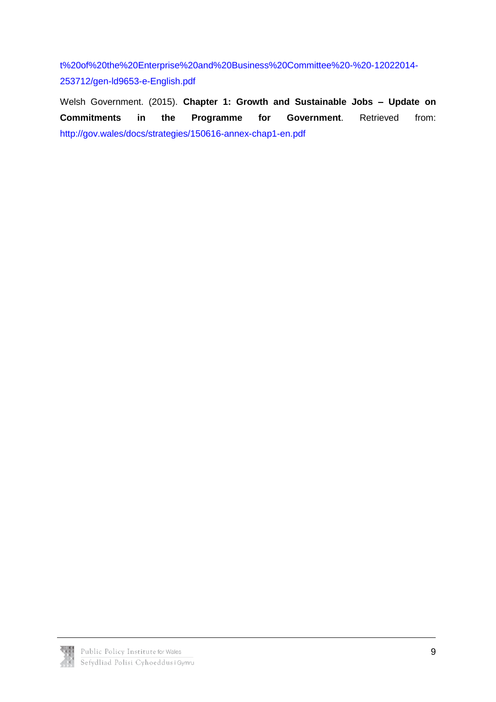[t%20of%20the%20Enterprise%20and%20Business%20Committee%20-%20-12022014-](http://www.assembly.wales/Laid%20Documents/GEN-LD9653%20-%20Written%20Response%20by%20the%20Welsh%20Government%20to%20the%20report%20of%20the%20Enterprise%20and%20Business%20Committee%20-%20-12022014-253712/gen-ld9653-e-English.pdf) [253712/gen-ld9653-e-English.pdf](http://www.assembly.wales/Laid%20Documents/GEN-LD9653%20-%20Written%20Response%20by%20the%20Welsh%20Government%20to%20the%20report%20of%20the%20Enterprise%20and%20Business%20Committee%20-%20-12022014-253712/gen-ld9653-e-English.pdf)

Welsh Government. (2015). **Chapter 1: Growth and Sustainable Jobs – Update on Commitments in the Programme for Government**. Retrieved from: <http://gov.wales/docs/strategies/150616-annex-chap1-en.pdf>

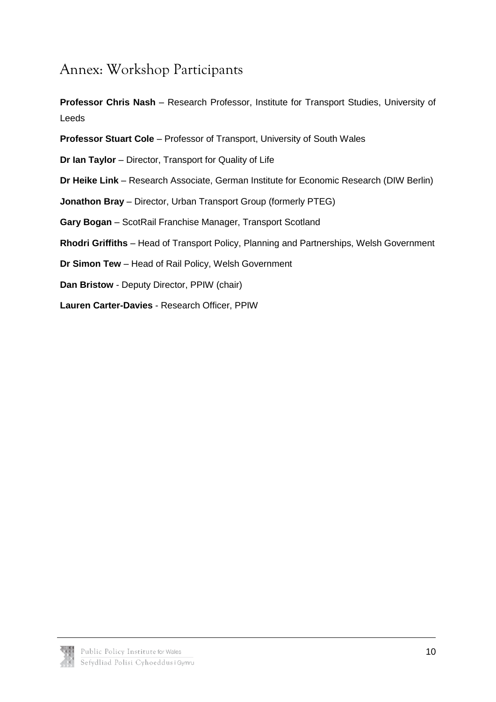### <span id="page-12-0"></span>Annex: Workshop Participants

**Professor Chris Nash** – Research Professor, Institute for Transport Studies, University of Leeds

**Professor Stuart Cole** – Professor of Transport, University of South Wales

**Dr Ian Taylor** – Director, Transport for Quality of Life

**Dr Heike Link** – Research Associate, German Institute for Economic Research (DIW Berlin)

**Jonathon Bray** – Director, Urban Transport Group (formerly PTEG)

**Gary Bogan** – ScotRail Franchise Manager, Transport Scotland

**Rhodri Griffiths** – Head of Transport Policy, Planning and Partnerships, Welsh Government

**Dr Simon Tew** – Head of Rail Policy, Welsh Government

**Dan Bristow** - Deputy Director, PPIW (chair)

**Lauren Carter-Davies** - Research Officer, PPIW